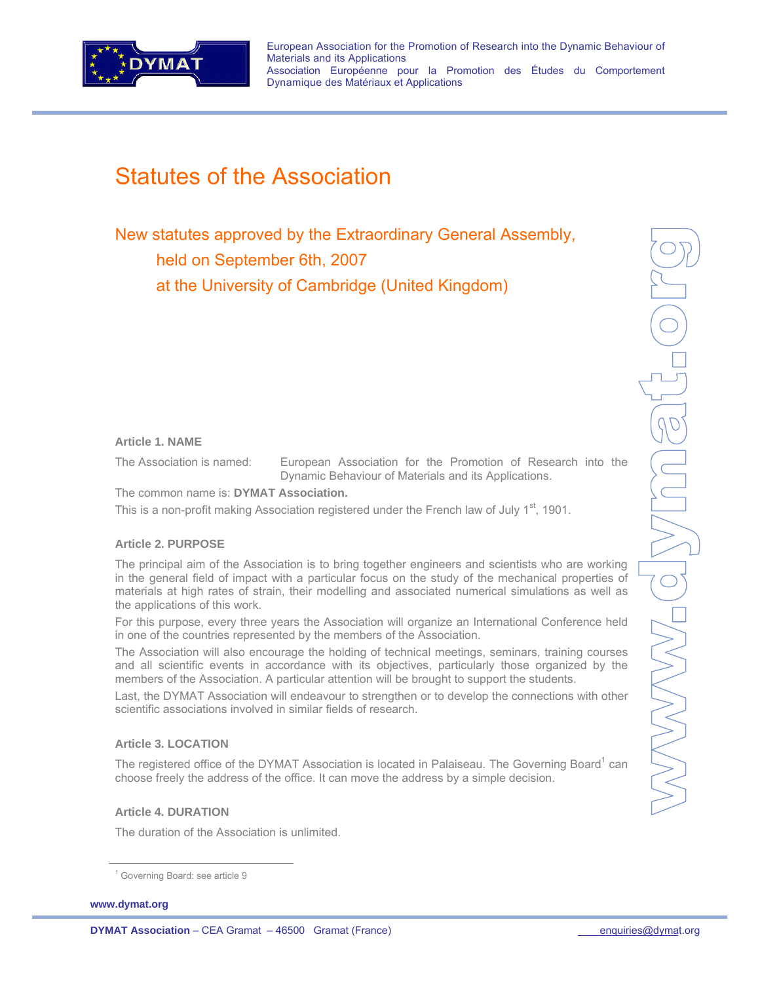

European Association for the Promotion of Research into the Dynamic Behaviour of Materials and its Applications Association Européenne pour la Promotion des Études du Comportement Dynamique des Matériaux et Applications

# Statutes of the Association

New statutes approved by the Extraordinary General Assembly, held on September 6th, 2007 at the University of Cambridge (United Kingdom)

# **Article 1. NAME**

The Association is named: European Association for the Promotion of Research into the Dynamic Behaviour of Materials and its Applications.

The common name is: **DYMAT Association.** 

This is a non-profit making Association registered under the French law of July 1<sup>st</sup>, 1901.

# **Article 2. PURPOSE**

The principal aim of the Association is to bring together engineers and scientists who are working in the general field of impact with a particular focus on the study of the mechanical properties of materials at high rates of strain, their modelling and associated numerical simulations as well as the applications of this work.

For this purpose, every three years the Association will organize an International Conference held in one of the countries represented by the members of the Association.

The Association will also encourage the holding of technical meetings, seminars, training courses and all scientific events in accordance with its objectives, particularly those organized by the members of the Association. A particular attention will be brought to support the students.

Last, the DYMAT Association will endeavour to strengthen or to develop the connections with other scientific associations involved in similar fields of research.

#### **Article 3. LOCATION**

The registered office of the DYMAT Association is located in Palaiseau. The Governing Board<sup>1</sup> can choose freely the address of the office. It can move the address by a simple decision.

# **Article 4. DURATION**

The duration of the Association is unlimited.

**www.dymat.org** 

<sup>&</sup>lt;sup>1</sup> Governing Board: see article 9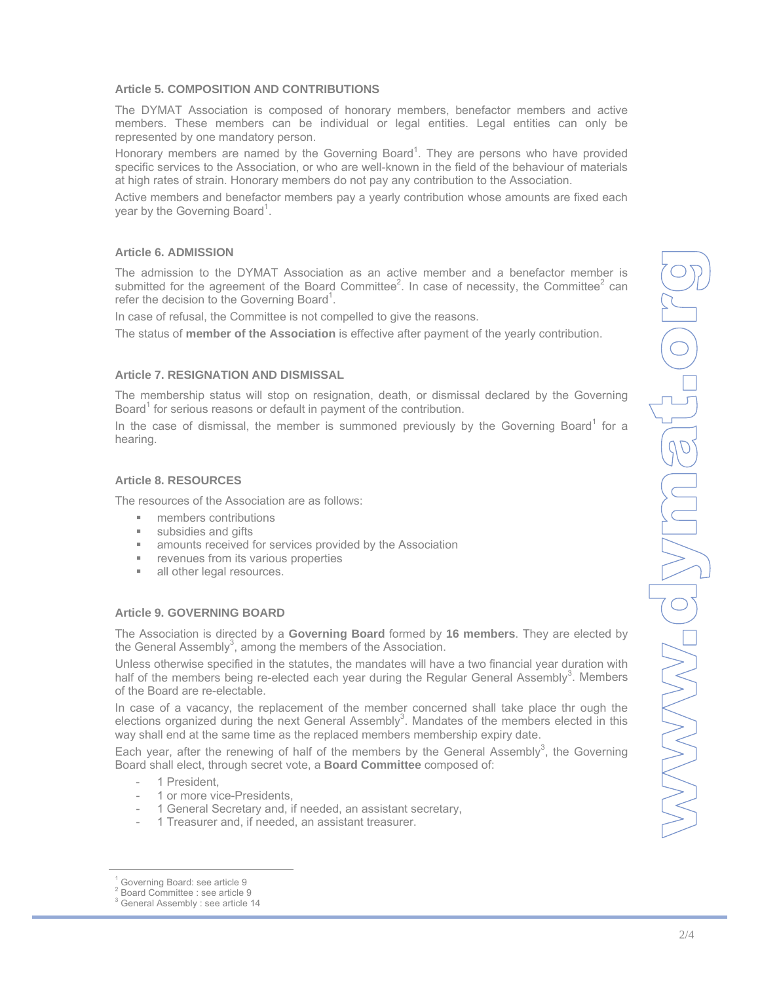#### **Article 5. COMPOSITION AND CONTRIBUTIONS**

The DYMAT Association is composed of honorary members, benefactor members and active members. These members can be individual or legal entities. Legal entities can only be represented by one mandatory person.

Honorary members are named by the Governing Board<sup>1</sup>. They are persons who have provided specific services to the Association, or who are well-known in the field of the behaviour of materials at high rates of strain. Honorary members do not pay any contribution to the Association.

Active members and benefactor members pay a yearly contribution whose amounts are fixed each year by the Governing Board<sup>1</sup>.

# **Article 6. ADMISSION**

The admission to the DYMAT Association as an active member and a benefactor member is submitted for the agreement of the Board Committee<sup>2</sup>. In case of necessity, the Committee<sup>2</sup> can refer the decision to the Governing Board<sup>1</sup>.

In case of refusal, the Committee is not compelled to give the reasons.

The status of **member of the Association** is effective after payment of the yearly contribution.

# **Article 7. RESIGNATION AND DISMISSAL**

The membership status will stop on resignation, death, or dismissal declared by the Governing Board<sup>1</sup> for serious reasons or default in payment of the contribution.

In the case of dismissal, the member is summoned previously by the Governing Board<sup>1</sup> for a hearing.

# **Article 8. RESOURCES**

The resources of the Association are as follows:

- **members contributions**
- **subsidies and gifts**
- **EXE** amounts received for services provided by the Association
- **Fuller** revenues from its various properties
- all other legal resources.

# **Article 9. GOVERNING BOARD**

The Association is directed by a **Governing Board** formed by **16 members**. They are elected by the General Assembly<sup>3</sup>, among the members of the Association.

Unless otherwise specified in the statutes, the mandates will have a two financial year duration with half of the members being re-elected each year during the Regular General Assembly<sup>3</sup>. Members of the Board are re-electable.

In case of a vacancy, the replacement of the member concerned shall take place thr ough the elections organized during the next General Assembly<sup>3</sup>. Mandates of the members elected in this way shall end at the same time as the replaced members membership expiry date.

Each year, after the renewing of half of the members by the General Assembly<sup>3</sup>, the Governing Board shall elect, through secret vote, a **Board Committee** composed of:

- 1 President
- 1 or more vice-Presidents,
- 1 General Secretary and, if needed, an assistant secretary,
- 1 Treasurer and, if needed, an assistant treasurer.

<sup>1</sup> Governing Board: see article 9

<sup>2</sup> Board Committee : see article 9

<sup>&</sup>lt;sup>3</sup> General Assembly : see article 14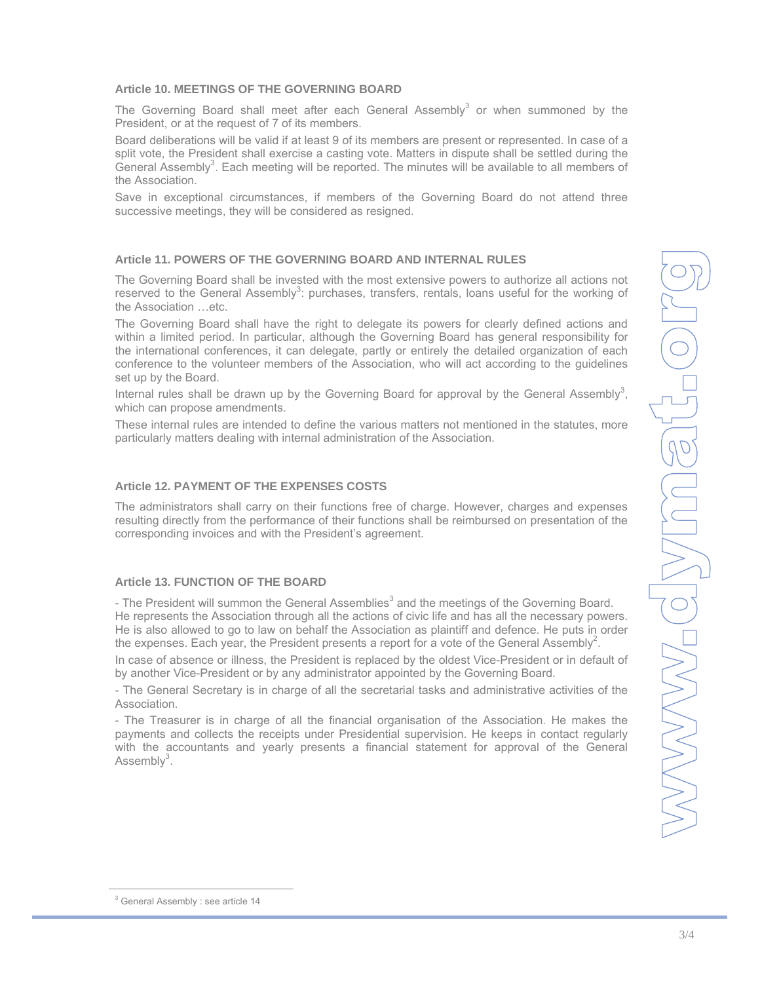# **Article 10. MEETINGS OF THE GOVERNING BOARD**

The Governing Board shall meet after each General Assembly<sup>3</sup> or when summoned by the President, or at the request of 7 of its members.

Board deliberations will be valid if at least 9 of its members are present or represented. In case of a split vote, the President shall exercise a casting vote. Matters in dispute shall be settled during the General Assembly<sup>3</sup>. Each meeting will be reported. The minutes will be available to all members of the Association.

Save in exceptional circumstances, if members of the Governing Board do not attend three successive meetings, they will be considered as resigned.

# **Article 11. POWERS OF THE GOVERNING BOARD AND INTERNAL RULES**

The Governing Board shall be invested with the most extensive powers to authorize all actions not reserved to the General Assembly<sup>3</sup>: purchases, transfers, rentals, loans useful for the working of the Association …etc.

The Governing Board shall have the right to delegate its powers for clearly defined actions and within a limited period. In particular, although the Governing Board has general responsibility for the international conferences, it can delegate, partly or entirely the detailed organization of each conference to the volunteer members of the Association, who will act according to the guidelines set up by the Board.

Internal rules shall be drawn up by the Governing Board for approval by the General Assembly<sup>3</sup>, which can propose amendments.

These internal rules are intended to define the various matters not mentioned in the statutes, more particularly matters dealing with internal administration of the Association.

# **Article 12. PAYMENT OF THE EXPENSES COSTS**

The administrators shall carry on their functions free of charge. However, charges and expenses resulting directly from the performance of their functions shall be reimbursed on presentation of the corresponding invoices and with the President's agreement.

# **Article 13. FUNCTION OF THE BOARD**

- The President will summon the General Assemblies<sup>3</sup> and the meetings of the Governing Board. He represents the Association through all the actions of civic life and has all the necessary powers. He is also allowed to go to law on behalf the Association as plaintiff and defence. He puts in order the expenses. Each year, the President presents a report for a vote of the General Assembly<sup>2</sup>.

In case of absence or illness, the President is replaced by the oldest Vice-President or in default of by another Vice-President or by any administrator appointed by the Governing Board.

- The General Secretary is in charge of all the secretarial tasks and administrative activities of the Association.

- The Treasurer is in charge of all the financial organisation of the Association. He makes the payments and collects the receipts under Presidential supervision. He keeps in contact regularly with the accountants and yearly presents a financial statement for approval of the General Assembly<sup>3</sup>.

<sup>&</sup>lt;sup>3</sup> General Assembly : see article 14